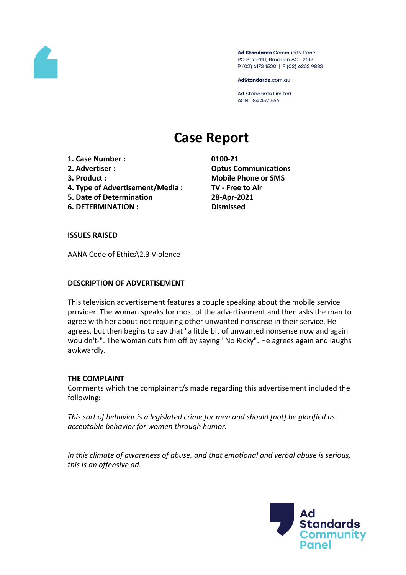

Ad Standards Community Panel PO Box 5110, Braddon ACT 2612 P (02) 6173 1500 | F (02) 6262 9833

AdStandards.com.au

**Ad Standards Limited** ACN 084 452 666

# **Case Report**

- **1. Case Number : 0100-21**
- 
- 
- **4. Type of Advertisement/Media : TV - Free to Air**
- **5. Date of Determination 28-Apr-2021**
- **6. DETERMINATION : Dismissed**

**2. Advertiser : Optus Communications 3. Product : Mobile Phone or SMS**

# **ISSUES RAISED**

AANA Code of Ethics\2.3 Violence

# **DESCRIPTION OF ADVERTISEMENT**

This television advertisement features a couple speaking about the mobile service provider. The woman speaks for most of the advertisement and then asks the man to agree with her about not requiring other unwanted nonsense in their service. He agrees, but then begins to say that "a little bit of unwanted nonsense now and again wouldn't-". The woman cuts him off by saying "No Ricky". He agrees again and laughs awkwardly.

# **THE COMPLAINT**

Comments which the complainant/s made regarding this advertisement included the following:

*This sort of behavior is a legislated crime for men and should [not] be glorified as acceptable behavior for women through humor.*

*In this climate of awareness of abuse, and that emotional and verbal abuse is serious, this is an offensive ad.*

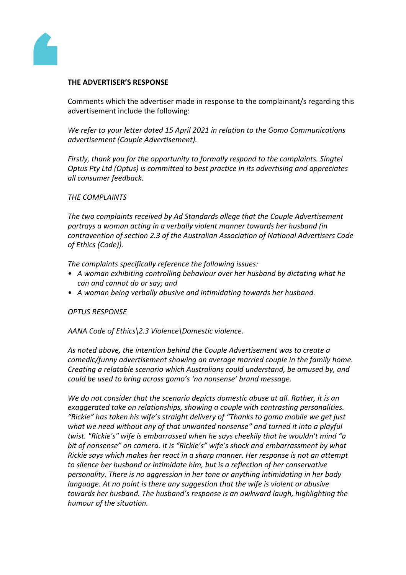

#### **THE ADVERTISER'S RESPONSE**

Comments which the advertiser made in response to the complainant/s regarding this advertisement include the following:

*We refer to your letter dated 15 April 2021 in relation to the Gomo Communications advertisement (Couple Advertisement).* 

*Firstly, thank you for the opportunity to formally respond to the complaints. Singtel Optus Pty Ltd (Optus) is committed to best practice in its advertising and appreciates all consumer feedback.*

#### *THE COMPLAINTS*

*The two complaints received by Ad Standards allege that the Couple Advertisement portrays a woman acting in a verbally violent manner towards her husband (in contravention of section 2.3 of the Australian Association of National Advertisers Code of Ethics (Code)).*

*The complaints specifically reference the following issues:*

- *• A woman exhibiting controlling behaviour over her husband by dictating what he can and cannot do or say; and*
- *• A woman being verbally abusive and intimidating towards her husband.*

#### *OPTUS RESPONSE*

*AANA Code of Ethics\2.3 Violence\Domestic violence.*

*As noted above, the intention behind the Couple Advertisement was to create a comedic/funny advertisement showing an average married couple in the family home. Creating a relatable scenario which Australians could understand, be amused by, and could be used to bring across gomo's 'no nonsense' brand message.*

*We do not consider that the scenario depicts domestic abuse at all. Rather, it is an exaggerated take on relationships, showing a couple with contrasting personalities. "Rickie" has taken his wife's straight delivery of "Thanks to gomo mobile we get just what we need without any of that unwanted nonsense" and turned it into a playful twist. "Rickie's" wife is embarrassed when he says cheekily that he wouldn't mind "a bit of nonsense" on camera. It is "Rickie's" wife's shock and embarrassment by what Rickie says which makes her react in a sharp manner. Her response is not an attempt to silence her husband or intimidate him, but is a reflection of her conservative personality. There is no aggression in her tone or anything intimidating in her body language. At no point is there any suggestion that the wife is violent or abusive towards her husband. The husband's response is an awkward laugh, highlighting the humour of the situation.*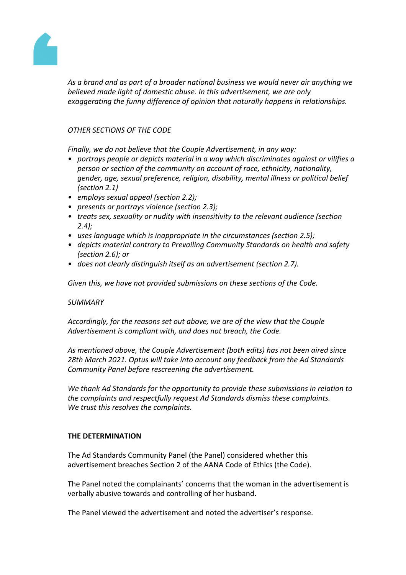

*As a brand and as part of a broader national business we would never air anything we believed made light of domestic abuse. In this advertisement, we are only exaggerating the funny difference of opinion that naturally happens in relationships.*

# *OTHER SECTIONS OF THE CODE*

*Finally, we do not believe that the Couple Advertisement, in any way:*

- *• portrays people or depicts material in a way which discriminates against or vilifies a person or section of the community on account of race, ethnicity, nationality, gender, age, sexual preference, religion, disability, mental illness or political belief (section 2.1)*
- *• employs sexual appeal (section 2.2);*
- *• presents or portrays violence (section 2.3);*
- *• treats sex, sexuality or nudity with insensitivity to the relevant audience (section 2.4);*
- *• uses language which is inappropriate in the circumstances (section 2.5);*
- *• depicts material contrary to Prevailing Community Standards on health and safety (section 2.6); or*
- *• does not clearly distinguish itself as an advertisement (section 2.7).*

*Given this, we have not provided submissions on these sections of the Code.* 

# *SUMMARY*

*Accordingly, for the reasons set out above, we are of the view that the Couple Advertisement is compliant with, and does not breach, the Code.*

*As mentioned above, the Couple Advertisement (both edits) has not been aired since 28th March 2021. Optus will take into account any feedback from the Ad Standards Community Panel before rescreening the advertisement.*

*We thank Ad Standards for the opportunity to provide these submissions in relation to the complaints and respectfully request Ad Standards dismiss these complaints. We trust this resolves the complaints.*

# **THE DETERMINATION**

The Ad Standards Community Panel (the Panel) considered whether this advertisement breaches Section 2 of the AANA Code of Ethics (the Code).

The Panel noted the complainants' concerns that the woman in the advertisement is verbally abusive towards and controlling of her husband.

The Panel viewed the advertisement and noted the advertiser's response.